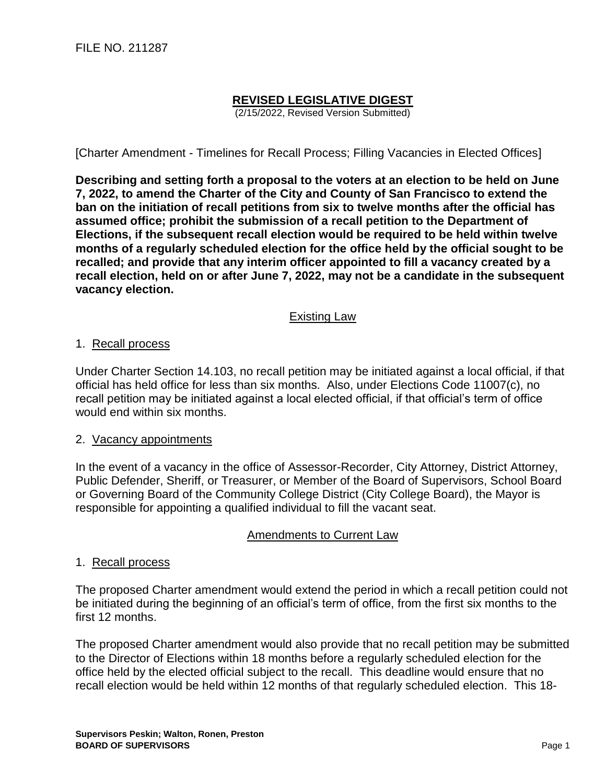# **REVISED LEGISLATIVE DIGEST**

(2/15/2022, Revised Version Submitted)

[Charter Amendment - Timelines for Recall Process; Filling Vacancies in Elected Offices]

**Describing and setting forth a proposal to the voters at an election to be held on June 7, 2022, to amend the Charter of the City and County of San Francisco to extend the ban on the initiation of recall petitions from six to twelve months after the official has assumed office; prohibit the submission of a recall petition to the Department of Elections, if the subsequent recall election would be required to be held within twelve months of a regularly scheduled election for the office held by the official sought to be recalled; and provide that any interim officer appointed to fill a vacancy created by a recall election, held on or after June 7, 2022, may not be a candidate in the subsequent vacancy election.**

## Existing Law

#### 1. Recall process

Under Charter Section 14.103, no recall petition may be initiated against a local official, if that official has held office for less than six months. Also, under Elections Code 11007(c), no recall petition may be initiated against a local elected official, if that official's term of office would end within six months.

#### 2. Vacancy appointments

In the event of a vacancy in the office of Assessor-Recorder, City Attorney, District Attorney, Public Defender, Sheriff, or Treasurer, or Member of the Board of Supervisors, School Board or Governing Board of the Community College District (City College Board), the Mayor is responsible for appointing a qualified individual to fill the vacant seat.

# Amendments to Current Law

#### 1. Recall process

The proposed Charter amendment would extend the period in which a recall petition could not be initiated during the beginning of an official's term of office, from the first six months to the first 12 months.

The proposed Charter amendment would also provide that no recall petition may be submitted to the Director of Elections within 18 months before a regularly scheduled election for the office held by the elected official subject to the recall. This deadline would ensure that no recall election would be held within 12 months of that regularly scheduled election. This 18